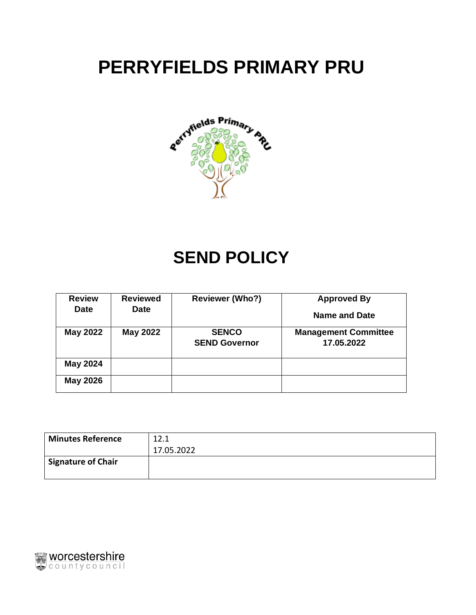# **PERRYFIELDS PRIMARY PRU**



## **SEND POLICY**

| <b>Review</b><br><b>Date</b> | <b>Reviewed</b><br><b>Date</b> | <b>Reviewer (Who?)</b>               | <b>Approved By</b><br>Name and Date       |
|------------------------------|--------------------------------|--------------------------------------|-------------------------------------------|
| <b>May 2022</b>              | <b>May 2022</b>                | <b>SENCO</b><br><b>SEND Governor</b> | <b>Management Committee</b><br>17.05.2022 |
| <b>May 2024</b>              |                                |                                      |                                           |
| <b>May 2026</b>              |                                |                                      |                                           |

| <b>Minutes Reference</b>        | 12.1       |
|---------------------------------|------------|
|                                 | 17.05.2022 |
| <sup>I</sup> Signature of Chair |            |
|                                 |            |

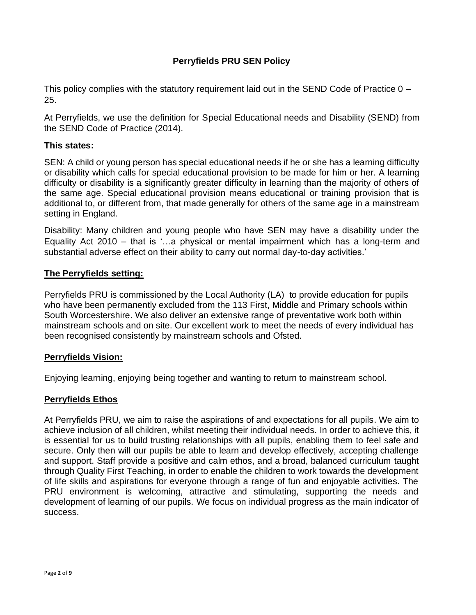## **Perryfields PRU SEN Policy**

This policy complies with the statutory requirement laid out in the SEND Code of Practice 0 – 25.

At Perryfields, we use the definition for Special Educational needs and Disability (SEND) from the SEND Code of Practice (2014).

#### **This states:**

SEN: A child or young person has special educational needs if he or she has a learning difficulty or disability which calls for special educational provision to be made for him or her. A learning difficulty or disability is a significantly greater difficulty in learning than the majority of others of the same age. Special educational provision means educational or training provision that is additional to, or different from, that made generally for others of the same age in a mainstream setting in England.

Disability: Many children and young people who have SEN may have a disability under the Equality Act 2010 – that is '…a physical or mental impairment which has a long-term and substantial adverse effect on their ability to carry out normal day-to-day activities.'

## **The Perryfields setting:**

Perryfields PRU is commissioned by the Local Authority (LA) to provide education for pupils who have been permanently excluded from the 113 First, Middle and Primary schools within South Worcestershire. We also deliver an extensive range of preventative work both within mainstream schools and on site. Our excellent work to meet the needs of every individual has been recognised consistently by mainstream schools and Ofsted.

#### **Perryfields Vision:**

Enjoying learning, enjoying being together and wanting to return to mainstream school.

## **Perryfields Ethos**

At Perryfields PRU, we aim to raise the aspirations of and expectations for all pupils. We aim to achieve inclusion of all children, whilst meeting their individual needs. In order to achieve this, it is essential for us to build trusting relationships with all pupils, enabling them to feel safe and secure. Only then will our pupils be able to learn and develop effectively, accepting challenge and support. Staff provide a positive and calm ethos, and a broad, balanced curriculum taught through Quality First Teaching, in order to enable the children to work towards the development of life skills and aspirations for everyone through a range of fun and enjoyable activities. The PRU environment is welcoming, attractive and stimulating, supporting the needs and development of learning of our pupils. We focus on individual progress as the main indicator of success.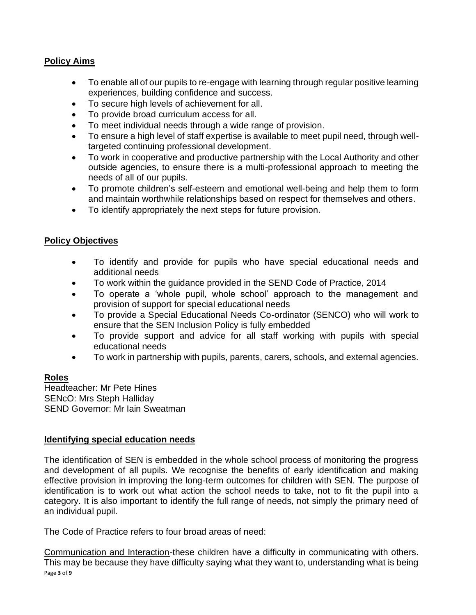## **Policy Aims**

- To enable all of our pupils to re-engage with learning through regular positive learning experiences, building confidence and success.
- To secure high levels of achievement for all.
- To provide broad curriculum access for all.
- To meet individual needs through a wide range of provision.
- To ensure a high level of staff expertise is available to meet pupil need, through welltargeted continuing professional development.
- To work in cooperative and productive partnership with the Local Authority and other outside agencies, to ensure there is a multi-professional approach to meeting the needs of all of our pupils.
- To promote children's self-esteem and emotional well-being and help them to form and maintain worthwhile relationships based on respect for themselves and others.
- To identify appropriately the next steps for future provision.

## **Policy Objectives**

- To identify and provide for pupils who have special educational needs and additional needs
- To work within the guidance provided in the SEND Code of Practice, 2014
- To operate a 'whole pupil, whole school' approach to the management and provision of support for special educational needs
- To provide a Special Educational Needs Co-ordinator (SENCO) who will work to ensure that the SEN Inclusion Policy is fully embedded
- To provide support and advice for all staff working with pupils with special educational needs
- To work in partnership with pupils, parents, carers, schools, and external agencies.

#### **Roles**

Headteacher: Mr Pete Hines SENcO: Mrs Steph Halliday SEND Governor: Mr Iain Sweatman

#### **Identifying special education needs**

The identification of SEN is embedded in the whole school process of monitoring the progress and development of all pupils. We recognise the benefits of early identification and making effective provision in improving the long-term outcomes for children with SEN. The purpose of identification is to work out what action the school needs to take, not to fit the pupil into a category. It is also important to identify the full range of needs, not simply the primary need of an individual pupil.

The Code of Practice refers to four broad areas of need:

Page **3** of **9** Communication and Interaction-these children have a difficulty in communicating with others. This may be because they have difficulty saying what they want to, understanding what is being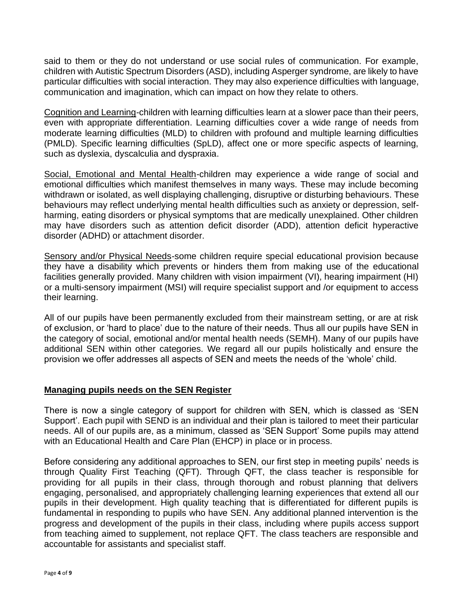said to them or they do not understand or use social rules of communication. For example, children with Autistic Spectrum Disorders (ASD), including Asperger syndrome, are likely to have particular difficulties with social interaction. They may also experience difficulties with language, communication and imagination, which can impact on how they relate to others.

Cognition and Learning-children with learning difficulties learn at a slower pace than their peers, even with appropriate differentiation. Learning difficulties cover a wide range of needs from moderate learning difficulties (MLD) to children with profound and multiple learning difficulties (PMLD). Specific learning difficulties (SpLD), affect one or more specific aspects of learning, such as dyslexia, dyscalculia and dyspraxia.

Social, Emotional and Mental Health-children may experience a wide range of social and emotional difficulties which manifest themselves in many ways. These may include becoming withdrawn or isolated, as well displaying challenging, disruptive or disturbing behaviours. These behaviours may reflect underlying mental health difficulties such as anxiety or depression, selfharming, eating disorders or physical symptoms that are medically unexplained. Other children may have disorders such as attention deficit disorder (ADD), attention deficit hyperactive disorder (ADHD) or attachment disorder.

Sensory and/or Physical Needs-some children require special educational provision because they have a disability which prevents or hinders them from making use of the educational facilities generally provided. Many children with vision impairment (VI), hearing impairment (HI) or a multi-sensory impairment (MSI) will require specialist support and /or equipment to access their learning.

All of our pupils have been permanently excluded from their mainstream setting, or are at risk of exclusion, or 'hard to place' due to the nature of their needs. Thus all our pupils have SEN in the category of social, emotional and/or mental health needs (SEMH). Many of our pupils have additional SEN within other categories. We regard all our pupils holistically and ensure the provision we offer addresses all aspects of SEN and meets the needs of the 'whole' child.

## **Managing pupils needs on the SEN Register**

There is now a single category of support for children with SEN, which is classed as 'SEN Support'. Each pupil with SEND is an individual and their plan is tailored to meet their particular needs. All of our pupils are, as a minimum, classed as 'SEN Support' Some pupils may attend with an Educational Health and Care Plan (EHCP) in place or in process.

Before considering any additional approaches to SEN, our first step in meeting pupils' needs is through Quality First Teaching (QFT). Through QFT, the class teacher is responsible for providing for all pupils in their class, through thorough and robust planning that delivers engaging, personalised, and appropriately challenging learning experiences that extend all our pupils in their development. High quality teaching that is differentiated for different pupils is fundamental in responding to pupils who have SEN. Any additional planned intervention is the progress and development of the pupils in their class, including where pupils access support from teaching aimed to supplement, not replace QFT. The class teachers are responsible and accountable for assistants and specialist staff.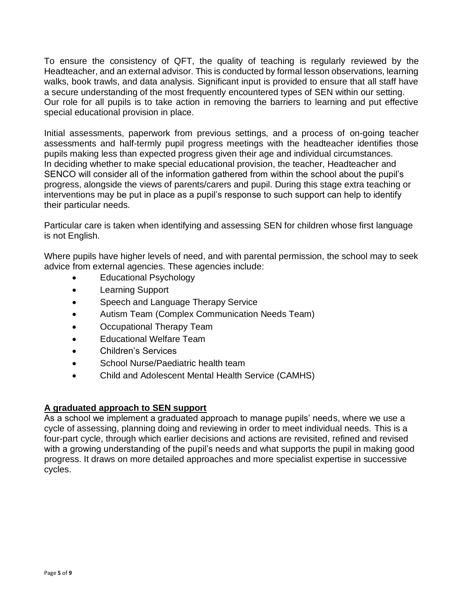To ensure the consistency of QFT, the quality of teaching is regularly reviewed by the Headteacher, and an external advisor. This is conducted by formal lesson observations, learning walks, book trawls, and data analysis. Significant input is provided to ensure that all staff have a secure understanding of the most frequently encountered types of SEN within our setting. Our role for all pupils is to take action in removing the barriers to learning and put effective special educational provision in place.

Initial assessments, paperwork from previous settings, and a process of on-going teacher assessments and half-termly pupil progress meetings with the headteacher identifies those pupils making less than expected progress given their age and individual circumstances. In deciding whether to make special educational provision, the teacher, Headteacher and SENCO will consider all of the information gathered from within the school about the pupil's progress, alongside the views of parents/carers and pupil. During this stage extra teaching or interventions may be put in place as a pupil's response to such support can help to identify their particular needs.

Particular care is taken when identifying and assessing SEN for children whose first language is not English.

Where pupils have higher levels of need, and with parental permission, the school may to seek advice from external agencies. These agencies include:

- Educational Psychology
- Learning Support
- Speech and Language Therapy Service
- Autism Team (Complex Communication Needs Team)
- Occupational Therapy Team
- Educational Welfare Team
- Children's Services
- School Nurse/Paediatric health team
- Child and Adolescent Mental Health Service (CAMHS)

#### **A graduated approach to SEN support**

As a school we implement a graduated approach to manage pupils' needs, where we use a cycle of assessing, planning doing and reviewing in order to meet individual needs. This is a four-part cycle, through which earlier decisions and actions are revisited, refined and revised with a growing understanding of the pupil's needs and what supports the pupil in making good progress. It draws on more detailed approaches and more specialist expertise in successive cycles.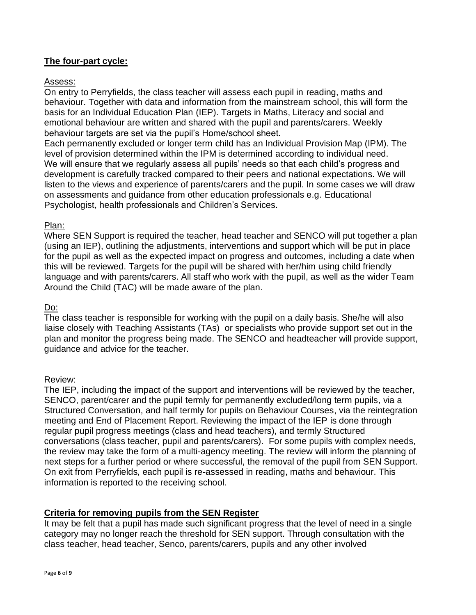#### **The four-part cycle:**

#### Assess:

On entry to Perryfields, the class teacher will assess each pupil in reading, maths and behaviour. Together with data and information from the mainstream school, this will form the basis for an Individual Education Plan (IEP). Targets in Maths, Literacy and social and emotional behaviour are written and shared with the pupil and parents/carers. Weekly behaviour targets are set via the pupil's Home/school sheet.

Each permanently excluded or longer term child has an Individual Provision Map (IPM). The level of provision determined within the IPM is determined according to individual need. We will ensure that we regularly assess all pupils' needs so that each child's progress and development is carefully tracked compared to their peers and national expectations. We will listen to the views and experience of parents/carers and the pupil. In some cases we will draw on assessments and guidance from other education professionals e.g. Educational Psychologist, health professionals and Children's Services.

#### Plan:

Where SEN Support is required the teacher, head teacher and SENCO will put together a plan (using an IEP), outlining the adjustments, interventions and support which will be put in place for the pupil as well as the expected impact on progress and outcomes, including a date when this will be reviewed. Targets for the pupil will be shared with her/him using child friendly language and with parents/carers. All staff who work with the pupil, as well as the wider Team Around the Child (TAC) will be made aware of the plan.

#### Do:

The class teacher is responsible for working with the pupil on a daily basis. She/he will also liaise closely with Teaching Assistants (TAs) or specialists who provide support set out in the plan and monitor the progress being made. The SENCO and headteacher will provide support, guidance and advice for the teacher.

#### Review:

The IEP, including the impact of the support and interventions will be reviewed by the teacher, SENCO, parent/carer and the pupil termly for permanently excluded/long term pupils, via a Structured Conversation, and half termly for pupils on Behaviour Courses, via the reintegration meeting and End of Placement Report. Reviewing the impact of the IEP is done through regular pupil progress meetings (class and head teachers), and termly Structured conversations (class teacher, pupil and parents/carers). For some pupils with complex needs, the review may take the form of a multi-agency meeting. The review will inform the planning of next steps for a further period or where successful, the removal of the pupil from SEN Support. On exit from Perryfields, each pupil is re-assessed in reading, maths and behaviour. This information is reported to the receiving school.

#### **Criteria for removing pupils from the SEN Register**

It may be felt that a pupil has made such significant progress that the level of need in a single category may no longer reach the threshold for SEN support. Through consultation with the class teacher, head teacher, Senco, parents/carers, pupils and any other involved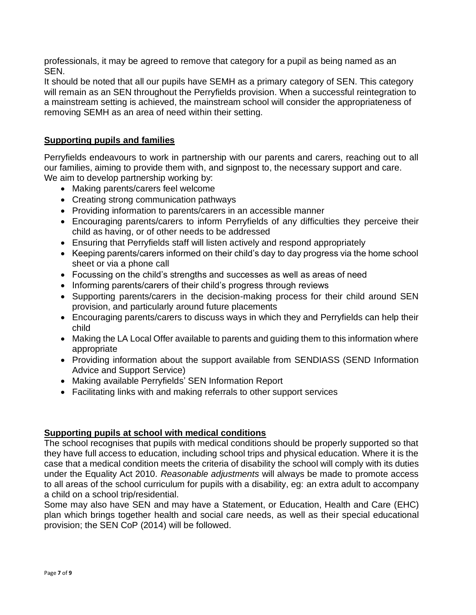professionals, it may be agreed to remove that category for a pupil as being named as an SEN.

It should be noted that all our pupils have SEMH as a primary category of SEN. This category will remain as an SEN throughout the Perryfields provision. When a successful reintegration to a mainstream setting is achieved, the mainstream school will consider the appropriateness of removing SEMH as an area of need within their setting.

## **Supporting pupils and families**

Perryfields endeavours to work in partnership with our parents and carers, reaching out to all our families, aiming to provide them with, and signpost to, the necessary support and care. We aim to develop partnership working by:

- Making parents/carers feel welcome
- Creating strong communication pathways
- Providing information to parents/carers in an accessible manner
- Encouraging parents/carers to inform Perryfields of any difficulties they perceive their child as having, or of other needs to be addressed
- Ensuring that Perryfields staff will listen actively and respond appropriately
- Keeping parents/carers informed on their child's day to day progress via the home school sheet or via a phone call
- Focussing on the child's strengths and successes as well as areas of need
- Informing parents/carers of their child's progress through reviews
- Supporting parents/carers in the decision-making process for their child around SEN provision, and particularly around future placements
- Encouraging parents/carers to discuss ways in which they and Perryfields can help their child
- Making the LA Local Offer available to parents and guiding them to this information where appropriate
- Providing information about the support available from SENDIASS (SEND Information Advice and Support Service)
- Making available Perryfields' SEN Information Report
- Facilitating links with and making referrals to other support services

#### **Supporting pupils at school with medical conditions**

The school recognises that pupils with medical conditions should be properly supported so that they have full access to education, including school trips and physical education. Where it is the case that a medical condition meets the criteria of disability the school will comply with its duties under the Equality Act 2010. *Reasonable adjustments* will always be made to promote access to all areas of the school curriculum for pupils with a disability, eg: an extra adult to accompany a child on a school trip/residential.

Some may also have SEN and may have a Statement, or Education, Health and Care (EHC) plan which brings together health and social care needs, as well as their special educational provision; the SEN CoP (2014) will be followed.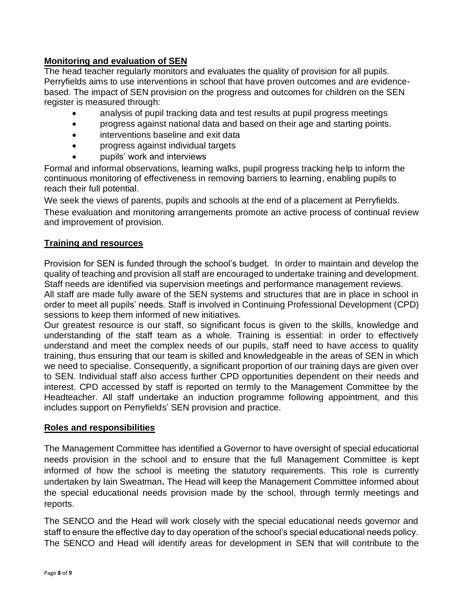## **Monitoring and evaluation of SEN**

The head teacher regularly monitors and evaluates the quality of provision for all pupils. Perryfields aims to use interventions in school that have proven outcomes and are evidencebased. The impact of SEN provision on the progress and outcomes for children on the SEN register is measured through:

- analysis of pupil tracking data and test results at pupil progress meetings
- progress against national data and based on their age and starting points.
- interventions baseline and exit data
- progress against individual targets
- pupils' work and interviews

Formal and informal observations, learning walks, pupil progress tracking help to inform the continuous monitoring of effectiveness in removing barriers to learning, enabling pupils to reach their full potential.

We seek the views of parents, pupils and schools at the end of a placement at Perryfields. These evaluation and monitoring arrangements promote an active process of continual review and improvement of provision.

## **Training and resources**

Provision for SEN is funded through the school's budget. In order to maintain and develop the quality of teaching and provision all staff are encouraged to undertake training and development. Staff needs are identified via supervision meetings and performance management reviews.

All staff are made fully aware of the SEN systems and structures that are in place in school in order to meet all pupils' needs. Staff is involved in Continuing Professional Development (CPD) sessions to keep them informed of new initiatives.

Our greatest resource is our staff, so significant focus is given to the skills, knowledge and understanding of the staff team as a whole. Training is essential: in order to effectively understand and meet the complex needs of our pupils, staff need to have access to quality training, thus ensuring that our team is skilled and knowledgeable in the areas of SEN in which we need to specialise. Consequently, a significant proportion of our training days are given over to SEN. Individual staff also access further CPD opportunities dependent on their needs and interest. CPD accessed by staff is reported on termly to the Management Committee by the Headteacher. All staff undertake an induction programme following appointment, and this includes support on Perryfields' SEN provision and practice.

#### **Roles and responsibilities**

The Management Committee has identified a Governor to have oversight of special educational needs provision in the school and to ensure that the full Management Committee is kept informed of how the school is meeting the statutory requirements. This role is currently undertaken by Iain Sweatman**.** The Head will keep the Management Committee informed about the special educational needs provision made by the school, through termly meetings and reports.

The SENCO and the Head will work closely with the special educational needs governor and staff to ensure the effective day to day operation of the school's special educational needs policy. The SENCO and Head will identify areas for development in SEN that will contribute to the